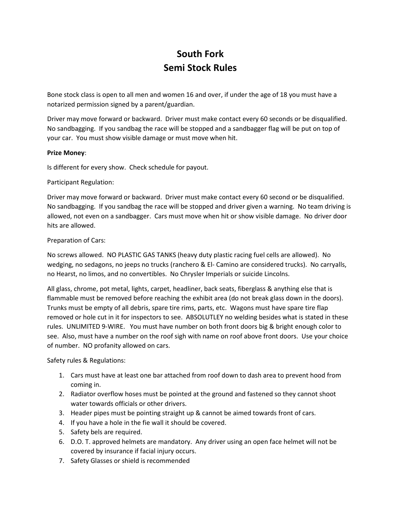# **South Fork Semi Stock Rules**

Bone stock class is open to all men and women 16 and over, if under the age of 18 you must have a notarized permission signed by a parent/guardian.

Driver may move forward or backward. Driver must make contact every 60 seconds or be disqualified. No sandbagging. If you sandbag the race will be stopped and a sandbagger flag will be put on top of your car. You must show visible damage or must move when hit.

### **Prize Money**:

Is different for every show. Check schedule for payout.

# Participant Regulation:

Driver may move forward or backward. Driver must make contact every 60 second or be disqualified. No sandbagging. If you sandbag the race will be stopped and driver given a warning. No team driving is allowed, not even on a sandbagger. Cars must move when hit or show visible damage. No driver door hits are allowed.

# Preparation of Cars:

No screws allowed. NO PLASTIC GAS TANKS (heavy duty plastic racing fuel cells are allowed). No wedging, no sedagons, no jeeps no trucks (ranchero & El- Camino are considered trucks). No carryalls, no Hearst, no limos, and no convertibles. No Chrysler Imperials or suicide Lincolns.

All glass, chrome, pot metal, lights, carpet, headliner, back seats, fiberglass & anything else that is flammable must be removed before reaching the exhibit area (do not break glass down in the doors). Trunks must be empty of all debris, spare tire rims, parts, etc. Wagons must have spare tire flap removed or hole cut in it for inspectors to see. ABSOLUTLEY no welding besides what is stated in these rules. UNLIMITED 9-WIRE. You must have number on both front doors big & bright enough color to see. Also, must have a number on the roof sigh with name on roof above front doors. Use your choice of number. NO profanity allowed on cars.

Safety rules & Regulations:

- 1. Cars must have at least one bar attached from roof down to dash area to prevent hood from coming in.
- 2. Radiator overflow hoses must be pointed at the ground and fastened so they cannot shoot water towards officials or other drivers.
- 3. Header pipes must be pointing straight up & cannot be aimed towards front of cars.
- 4. If you have a hole in the fie wall it should be covered.
- 5. Safety bels are required.
- 6. D.O. T. approved helmets are mandatory. Any driver using an open face helmet will not be covered by insurance if facial injury occurs.
- 7. Safety Glasses or shield is recommended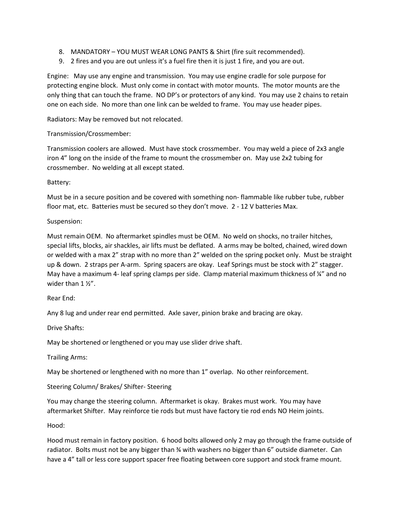- 8. MANDATORY YOU MUST WEAR LONG PANTS & Shirt (fire suit recommended).
- 9. 2 fires and you are out unless it's a fuel fire then it is just 1 fire, and you are out.

Engine: May use any engine and transmission. You may use engine cradle for sole purpose for protecting engine block. Must only come in contact with motor mounts. The motor mounts are the only thing that can touch the frame. NO DP's or protectors of any kind. You may use 2 chains to retain one on each side. No more than one link can be welded to frame. You may use header pipes.

Radiators: May be removed but not relocated.

### Transmission/Crossmember:

Transmission coolers are allowed. Must have stock crossmember. You may weld a piece of 2x3 angle iron 4" long on the inside of the frame to mount the crossmember on. May use 2x2 tubing for crossmember. No welding at all except stated.

### Battery:

Must be in a secure position and be covered with something non- flammable like rubber tube, rubber floor mat, etc. Batteries must be secured so they don't move. 2 - 12 V batteries Max.

### Suspension:

Must remain OEM. No aftermarket spindles must be OEM. No weld on shocks, no trailer hitches, special lifts, blocks, air shackles, air lifts must be deflated. A arms may be bolted, chained, wired down or welded with a max 2" strap with no more than 2" welded on the spring pocket only. Must be straight up & down. 2 straps per A-arm. Spring spacers are okay. Leaf Springs must be stock with 2" stagger. May have a maximum 4- leaf spring clamps per side. Clamp material maximum thickness of ¼" and no wider than 1 1/2".

### Rear End:

Any 8 lug and under rear end permitted. Axle saver, pinion brake and bracing are okay.

Drive Shafts:

May be shortened or lengthened or you may use slider drive shaft.

Trailing Arms:

May be shortened or lengthened with no more than 1" overlap. No other reinforcement.

Steering Column/ Brakes/ Shifter- Steering

You may change the steering column. Aftermarket is okay. Brakes must work. You may have aftermarket Shifter. May reinforce tie rods but must have factory tie rod ends NO Heim joints.

Hood:

Hood must remain in factory position. 6 hood bolts allowed only 2 may go through the frame outside of radiator. Bolts must not be any bigger than ¾ with washers no bigger than 6" outside diameter. Can have a 4" tall or less core support spacer free floating between core support and stock frame mount.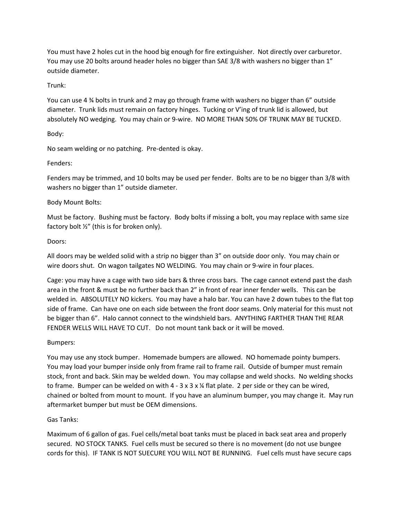You must have 2 holes cut in the hood big enough for fire extinguisher. Not directly over carburetor. You may use 20 bolts around header holes no bigger than SAE 3/8 with washers no bigger than 1" outside diameter.

# Trunk:

You can use 4 ¾ bolts in trunk and 2 may go through frame with washers no bigger than 6" outside diameter. Trunk lids must remain on factory hinges. Tucking or V'ing of trunk lid is allowed, but absolutely NO wedging. You may chain or 9-wire. NO MORE THAN 50% OF TRUNK MAY BE TUCKED.

# Body:

No seam welding or no patching. Pre-dented is okay.

# Fenders:

Fenders may be trimmed, and 10 bolts may be used per fender. Bolts are to be no bigger than 3/8 with washers no bigger than 1" outside diameter.

# Body Mount Bolts:

Must be factory. Bushing must be factory. Body bolts if missing a bolt, you may replace with same size factory bolt ½" (this is for broken only).

# Doors:

All doors may be welded solid with a strip no bigger than 3" on outside door only. You may chain or wire doors shut. On wagon tailgates NO WELDING. You may chain or 9-wire in four places.

Cage: you may have a cage with two side bars & three cross bars. The cage cannot extend past the dash area in the front & must be no further back than 2" in front of rear inner fender wells. This can be welded in. ABSOLUTELY NO kickers. You may have a halo bar. You can have 2 down tubes to the flat top side of frame. Can have one on each side between the front door seams. Only material for this must not be bigger than 6". Halo cannot connect to the windshield bars. ANYTHING FARTHER THAN THE REAR FENDER WELLS WILL HAVE TO CUT. Do not mount tank back or it will be moved.

### Bumpers:

You may use any stock bumper. Homemade bumpers are allowed. NO homemade pointy bumpers. You may load your bumper inside only from frame rail to frame rail. Outside of bumper must remain stock, front and back. Skin may be welded down. You may collapse and weld shocks. No welding shocks to frame. Bumper can be welded on with  $4 - 3 \times 3 \times 4$  flat plate. 2 per side or they can be wired, chained or bolted from mount to mount. If you have an aluminum bumper, you may change it. May run aftermarket bumper but must be OEM dimensions.

### Gas Tanks:

Maximum of 6 gallon of gas. Fuel cells/metal boat tanks must be placed in back seat area and properly secured. NO STOCK TANKS. Fuel cells must be secured so there is no movement (do not use bungee cords for this). IF TANK IS NOT SUECURE YOU WILL NOT BE RUNNING. Fuel cells must have secure caps